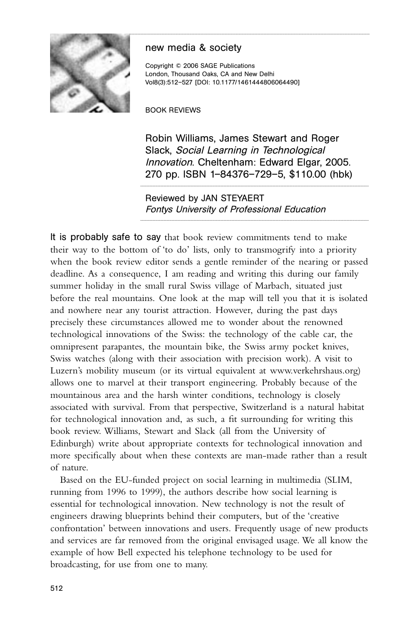

## new media & society

Copyright © 2006 SAGE Publications London, Thousand Oaks, CA and New Delhi Vol8(3):512–527 [DOI: 10.1177/1461444806064490]

BOOK REVIEWS

Robin Williams, James Stewart and Roger Slack, Social Learning in Technological Innovation. Cheltenham: Edward Elgar, 2005. 270 pp. ISBN 1–84376–729–5, \$110.00 (hbk)

............................................................................................................................................................................................................................................

............................................................................................................................................................................................................................................

Reviewed by JAN STEYAERT Fontys University of Professional Education

It is probably safe to say that book review commitments tend to make their way to the bottom of 'to do' lists, only to transmogrify into a priority when the book review editor sends a gentle reminder of the nearing or passed deadline. As a consequence, I am reading and writing this during our family summer holiday in the small rural Swiss village of Marbach, situated just before the real mountains. One look at the map will tell you that it is isolated and nowhere near any tourist attraction. However, during the past days precisely these circumstances allowed me to wonder about the renowned technological innovations of the Swiss: the technology of the cable car, the omnipresent parapantes, the mountain bike, the Swiss army pocket knives, Swiss watches (along with their association with precision work). A visit to Luzern's mobility museum (or its virtual equivalent at www.verkehrshaus.org) allows one to marvel at their transport engineering. Probably because of the mountainous area and the harsh winter conditions, technology is closely associated with survival. From that perspective, Switzerland is a natural habitat for technological innovation and, as such, a fit surrounding for writing this book review. Williams, Stewart and Slack (all from the University of Edinburgh) write about appropriate contexts for technological innovation and more specifically about when these contexts are man-made rather than a result of nature.

Based on the EU-funded project on social learning in multimedia (SLIM, running from 1996 to 1999), the authors describe how social learning is essential for technological innovation. New technology is not the result of engineers drawing blueprints behind their computers, but of the 'creative confrontation' between innovations and users. Frequently usage of new products and services are far removed from the original envisaged usage. We all know the example of how Bell expected his telephone technology to be used for broadcasting, for use from one to many.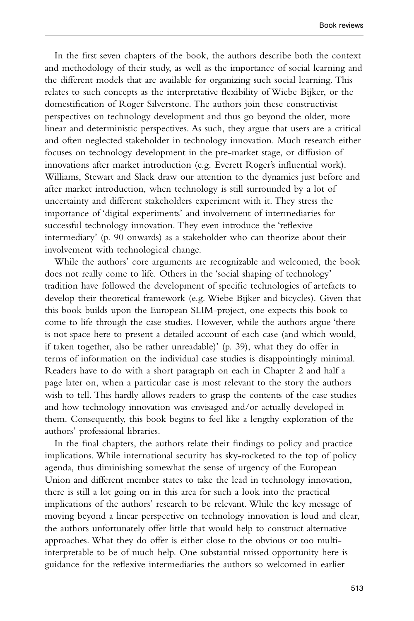In the first seven chapters of the book, the authors describe both the context and methodology of their study, as well as the importance of social learning and the different models that are available for organizing such social learning. This relates to such concepts as the interpretative flexibility of Wiebe Bijker, or the domestification of Roger Silverstone. The authors join these constructivist perspectives on technology development and thus go beyond the older, more linear and deterministic perspectives. As such, they argue that users are a critical and often neglected stakeholder in technology innovation. Much research either focuses on technology development in the pre-market stage, or diffusion of innovations after market introduction (e.g. Everett Roger's influential work). Williams, Stewart and Slack draw our attention to the dynamics just before and after market introduction, when technology is still surrounded by a lot of uncertainty and different stakeholders experiment with it. They stress the importance of 'digital experiments' and involvement of intermediaries for successful technology innovation. They even introduce the 'reflexive intermediary' (p. 90 onwards) as a stakeholder who can theorize about their involvement with technological change.

While the authors' core arguments are recognizable and welcomed, the book does not really come to life. Others in the 'social shaping of technology' tradition have followed the development of specific technologies of artefacts to develop their theoretical framework (e.g. Wiebe Bijker and bicycles). Given that this book builds upon the European SLIM-project, one expects this book to come to life through the case studies. However, while the authors argue 'there is not space here to present a detailed account of each case (and which would, if taken together, also be rather unreadable)' (p. 39), what they do offer in terms of information on the individual case studies is disappointingly minimal. Readers have to do with a short paragraph on each in Chapter 2 and half a page later on, when a particular case is most relevant to the story the authors wish to tell. This hardly allows readers to grasp the contents of the case studies and how technology innovation was envisaged and/or actually developed in them. Consequently, this book begins to feel like a lengthy exploration of the authors' professional libraries.

In the final chapters, the authors relate their findings to policy and practice implications. While international security has sky-rocketed to the top of policy agenda, thus diminishing somewhat the sense of urgency of the European Union and different member states to take the lead in technology innovation, there is still a lot going on in this area for such a look into the practical implications of the authors' research to be relevant. While the key message of moving beyond a linear perspective on technology innovation is loud and clear, the authors unfortunately offer little that would help to construct alternative approaches. What they do offer is either close to the obvious or too multiinterpretable to be of much help. One substantial missed opportunity here is guidance for the reflexive intermediaries the authors so welcomed in earlier